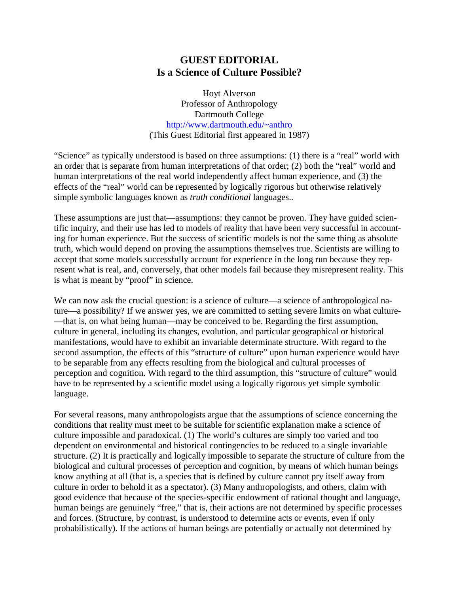## **GUEST EDITORIAL Is a Science of Culture Possible?**

Hoyt Alverson Professor of Anthropology Dartmouth College http://www.dartmouth.edu/~anthro (This Guest Editorial first appeared in 1987)

"Science" as typically understood is based on three assumptions: (1) there is a "real" world with an order that is separate from human interpretations of that order; (2) both the "real" world and human interpretations of the real world independently affect human experience, and (3) the effects of the "real" world can be represented by logically rigorous but otherwise relatively simple symbolic languages known as *truth conditional* languages..

These assumptions are just that—assumptions: they cannot be proven. They have guided scientific inquiry, and their use has led to models of reality that have been very successful in accounting for human experience. But the success of scientific models is not the same thing as absolute truth, which would depend on proving the assumptions themselves true. Scientists are willing to accept that some models successfully account for experience in the long run because they represent what is real, and, conversely, that other models fail because they misrepresent reality. This is what is meant by "proof" in science.

We can now ask the crucial question: is a science of culture—a science of anthropological nature—a possibility? If we answer yes, we are committed to setting severe limits on what culture- —that is, on what being human—may be conceived to be. Regarding the first assumption, culture in general, including its changes, evolution, and particular geographical or historical manifestations, would have to exhibit an invariable determinate structure. With regard to the second assumption, the effects of this "structure of culture" upon human experience would have to be separable from any effects resulting from the biological and cultural processes of perception and cognition. With regard to the third assumption, this "structure of culture" would have to be represented by a scientific model using a logically rigorous yet simple symbolic language.

For several reasons, many anthropologists argue that the assumptions of science concerning the conditions that reality must meet to be suitable for scientific explanation make a science of culture impossible and paradoxical. (1) The world's cultures are simply too varied and too dependent on environmental and historical contingencies to be reduced to a single invariable structure. (2) It is practically and logically impossible to separate the structure of culture from the biological and cultural processes of perception and cognition, by means of which human beings know anything at all (that is, a species that is defined by culture cannot pry itself away from culture in order to behold it as a spectator). (3) Many anthropologists, and others, claim with good evidence that because of the species-specific endowment of rational thought and language, human beings are genuinely "free," that is, their actions are not determined by specific processes and forces. (Structure, by contrast, is understood to determine acts or events, even if only probabilistically). If the actions of human beings are potentially or actually not determined by